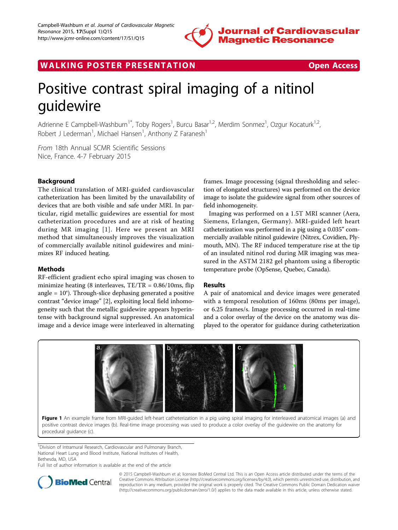

WALKING POSTER PRESENTATION **SECURE 20 YO FOR ACCESS** 



# Positive contrast spiral imaging of a nitinol guidewire

Adrienne E Campbell-Washburn<sup>1\*</sup>, Toby Rogers<sup>1</sup>, Burcu Basar<sup>1,2</sup>, Merdim Sonmez<sup>1</sup>, Ozgur Kocaturk<sup>1,2</sup>, Robert J Lederman<sup>1</sup>, Michael Hansen<sup>1</sup>, Anthony Z Faranesh<sup>1</sup>

From 18th Annual SCMR Scientific Sessions Nice, France. 4-7 February 2015

# Background

The clinical translation of MRI-guided cardiovascular catheterization has been limited by the unavailability of devices that are both visible and safe under MRI. In particular, rigid metallic guidewires are essential for most catheterization procedures and are at risk of heating during MR imaging [[1](#page--1-0)]. Here we present an MRI method that simultaneously improves the visualization of commercially available nitinol guidewires and minimizes RF induced heating.

# **Methods**

RF-efficient gradient echo spiral imaging was chosen to minimize heating (8 interleaves,  $TE/TR = 0.86/10$ ms, flip angle = 10°). Through-slice dephasing generated a positive contrast "device image" [[2](#page--1-0)], exploiting local field inhomogeneity such that the metallic guidewire appears hyperintense with background signal suppressed. An anatomical image and a device image were interleaved in alternating frames. Image processing (signal thresholding and selection of elongated structures) was performed on the device image to isolate the guidewire signal from other sources of field inhomogeneity.

Imaging was performed on a 1.5T MRI scanner (Aera, Siemens, Erlangen, Germany). MRI-guided left heart catheterization was performed in a pig using a 0.035" commercially available nitinol guidewire (Nitrex, Covidien, Plymouth, MN). The RF induced temperature rise at the tip of an insulated nitinol rod during MR imaging was measured in the ASTM 2182 gel phantom using a fiberoptic temperature probe (OpSense, Quebec, Canada).

# Results

A pair of anatomical and device images were generated with a temporal resolution of 160ms (80ms per image), or 6.25 frames/s. Image processing occurred in real-time and a color overlay of the device on the anatomy was displayed to the operator for guidance during catheterization



Figure 1 An example frame from MRI-quided left-heart catheterization in a pig using spiral imaging for interleaved anatomical images (a) and positive contrast device images (b). Real-time image processing was used to produce a color overlay of the guidewire on the anatomy for procedural guidance (c).

<sup>1</sup> Division of Intramural Research, Cardiovascular and Pulmonary Branch, National Heart Lung and Blood Institute, National Institutes of Health, Bethesda, MD, USA

Full list of author information is available at the end of the article



© 2015 Campbell-Washburn et al; licensee BioMed Central Ltd. This is an Open Access article distributed under the terms of the Creative Commons Attribution License (<http://creativecommons.org/licenses/by/4.0>), which permits unrestricted use, distribution, and reproduction in any medium, provided the original work is properly cited. The Creative Commons Public Domain Dedication waiver [\(http://creativecommons.org/publicdomain/zero/1.0/](http://creativecommons.org/publicdomain/zero/1.0/)) applies to the data made available in this article, unless otherwise stated.